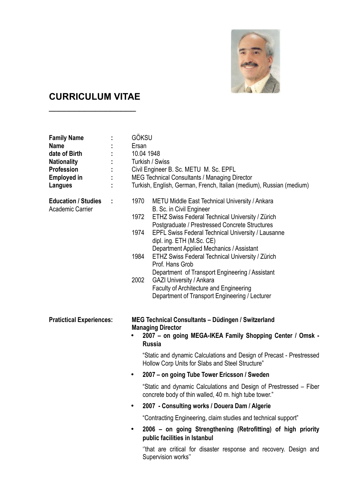

## **CURRICULUM VITAE**

 $\overline{\phantom{a}}$ 

| <b>Family Name</b><br><b>Name</b><br>date of Birth<br><b>Nationality</b><br>Profession<br><b>Employed in</b><br>Langues |                        | GÖKSU<br>Ersan<br>10.04 1948<br>Turkish / Swiss<br>Civil Engineer B. Sc. METU M. Sc. EPFL<br>MEG Technical Consultants / Managing Director<br>Turkish, English, German, French, Italian (medium), Russian (medium)                                                                                                                                                                                                                                                                                                                                                                                                                                                                                                                                                                       |
|-------------------------------------------------------------------------------------------------------------------------|------------------------|------------------------------------------------------------------------------------------------------------------------------------------------------------------------------------------------------------------------------------------------------------------------------------------------------------------------------------------------------------------------------------------------------------------------------------------------------------------------------------------------------------------------------------------------------------------------------------------------------------------------------------------------------------------------------------------------------------------------------------------------------------------------------------------|
| <b>Education / Studies</b><br><b>Academic Carrier</b>                                                                   | ÷                      | 1970<br>METU Middle East Technical University / Ankara<br>B. Sc. in Civil Engineer<br>1972<br>ETHZ Swiss Federal Technical University / Zürich<br>Postgraduate / Prestressed Concrete Structures<br>1974<br><b>EPFL Swiss Federal Technical University / Lausanne</b><br>dipl. ing. ETH (M.Sc. CE)<br>Department Applied Mechanics / Assistant<br>1984<br>ETHZ Swiss Federal Technical University / Zürich<br>Prof. Hans Grob<br>Department of Transport Engineering / Assistant<br>2002<br><b>GAZI University / Ankara</b><br><b>Faculty of Architecture and Engineering</b><br>Department of Transport Engineering / Lecturer                                                                                                                                                          |
| <b>Pratictical Experiences:</b>                                                                                         | $\bullet$<br>$\bullet$ | MEG Technical Consultants - Düdingen / Switzerland<br><b>Managing Director</b><br>2007 - on going MEGA-IKEA Family Shopping Center / Omsk -<br><b>Russia</b><br>"Static and dynamic Calculations and Design of Precast - Prestressed<br>Hollow Corp Units for Slabs and Steel Structure"<br>2007 - on going Tube Tower Ericsson / Sweden<br>"Static and dynamic Calculations and Design of Prestressed - Fiber<br>concrete body of thin walled, 40 m. high tube tower."<br>2007 - Consulting works / Douera Dam / Algerie<br>"Contracting Engineering, claim studies and technical support"<br>2006 – on going Strengthening (Retrofitting) of high priority<br>public facilities in Istanbul<br>"that are critical for disaster response and recovery. Design and<br>Supervision works" |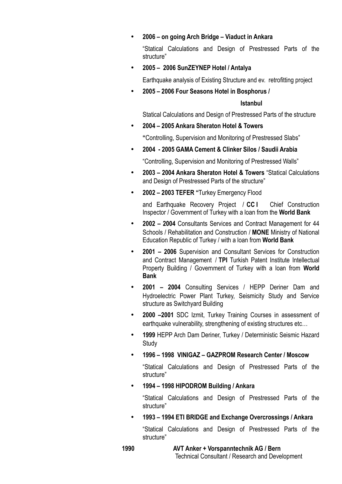## • **2006 – on going Arch Bridge – Viaduct in Ankara**

"Statical Calculations and Design of Prestressed Parts of the structure"

• **2005 – 2006 SunZEYNEP Hotel / Antalya**

Earthquake analysis of Existing Structure and ev. retrofitting project

• **2005 – 2006 Four Seasons Hotel in Bosphorus /** 

## **Istanbul**

Statical Calculations and Design of Prestressed Parts of the structure

• **2004 – 2005 Ankara Sheraton Hotel & Towers** 

**"**Controlling, Supervision and Monitoring of Prestressed Slabs"

• **2004 - 2005 GAMA Cement & Clinker Silos / Saudii Arabia**

"Controlling, Supervision and Monitoring of Prestressed Walls"

- **2003 2004 Ankara Sheraton Hotel & Towers** "Statical Calculations and Design of Prestressed Parts of the structure"
- **2002 2003 TEFER "**Turkey Emergency Flood

and Earthquake Recovery Project / **CC I** Chief Construction Inspector / Government of Turkey with a loan from the **World Bank**

- **2002 2004** Consultants Services and Contract Management for 44 Schools / Rehabilitation and Construction / **MONE** Ministry of National Education Republic of Turkey / with a loan from **World Bank**
- **2001 2006** Supervision and Consultant Services for Construction and Contract Management / **TPI** Turkish Patent Institute Intellectual Property Building / Government of Turkey with a loan from **World Bank**
- **2001 2004** Consulting Services / HEPP Deriner Dam and Hydroelectric Power Plant Turkey, Seismicity Study and Service structure as Switchyard Building
- **2000 –2001** SDC Izmit, Turkey Training Courses in assessment of earthquake vulnerability, strengthening of existing structures etc…
- **1999** HEPP Arch Dam Deriner, Turkey / Deterministic Seismic Hazard Study
- **1996 1998 VINIGAZ GAZPROM Research Center / Moscow**

"Statical Calculations and Design of Prestressed Parts of the structure"

• **1994 – 1998 HIPODROM Building / Ankara**

"Statical Calculations and Design of Prestressed Parts of the structure"

• **1993 – 1994 ETI BRIDGE and Exchange Overcrossings / Ankara**

"Statical Calculations and Design of Prestressed Parts of the structure"